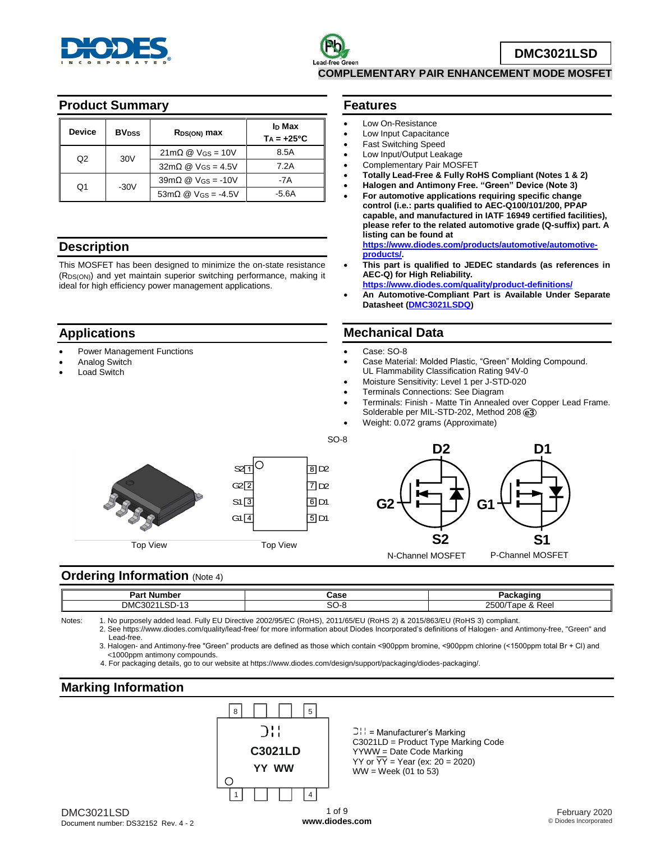

## **Product Summary**

| <b>Device</b>         | <b>BV</b> <sub>pss</sub>                                          | R <sub>DS(ON)</sub> max                               | I <sub>D</sub> Max<br>$Ta = +25^{\circ}C$ |
|-----------------------|-------------------------------------------------------------------|-------------------------------------------------------|-------------------------------------------|
|                       | $21 \text{m}\Omega \text{ } \textcircled{}$ V <sub>GS</sub> = 10V |                                                       | 8.5A                                      |
| Q2<br>30 <sub>V</sub> | $32m\Omega \t{Q}$ V <sub>GS</sub> = 4.5V                          | 7.2A                                                  |                                           |
|                       |                                                                   | $39m\Omega$ @ V <sub>GS</sub> = -10V                  | -7A                                       |
| O1                    | $-30V$                                                            | $53m\Omega \n\textcircled{2}$ V <sub>GS</sub> = -4.5V | $-5.6A$                                   |

### **Description**

This MOSFET has been designed to minimize the on-state resistance (RDS(ON)) and yet maintain superior switching performance, making it ideal for high efficiency power management applications.

## **Applications**

- Power Management Functions
- Analog Switch
- Load Switch

### **Features**

- Low On-Resistance
- Low Input Capacitance
- Fast Switching Speed
- Low Input/Output Leakage
- Complementary Pair MOSFET **Totally Lead-Free & Fully RoHS Compliant (Notes 1 & 2)**
- **Halogen and Antimony Free. "Green" Device (Note 3)**
- **For automotive applications requiring specific change control (i.e.: parts qualified to AEC-Q100/101/200, PPAP capable, and manufactured in IATF 16949 certified facilities), please refer to the related automotive grade (Q-suffix) part. A listing can be found at**

**[https://www.diodes.com/products/automotive/automotive](https://www.diodes.com/products/automotive/automotive-products/)[products/.](https://www.diodes.com/products/automotive/automotive-products/)** 

- **This part is qualified to JEDEC standards (as references in AEC-Q) for High Reliability.**
- **<https://www.diodes.com/quality/product-definitions/>**
- **An Automotive-Compliant Part is Available Under Separate Datasheet [\(DMC3021LSDQ\)](http://www.diodes.com/_files/datasheets/DMC3021LSDQ.pdf)**

## **Mechanical Data**

#### Case: SO-8

- Case Material: Molded Plastic, "Green" Molding Compound. UL Flammability Classification Rating 94V-0
- Moisture Sensitivity: Level 1 per J-STD-020
- Terminals Connections: See Diagram
- Terminals: Finish Matte Tin Annealed over Copper Lead Frame. Solderable per MIL-STD-202, Method 208 **e3**
- Weight: 0.072 grams (Approximate)







### **Ordering Information (Note 4)**

| Dort.<br>: Number<br>άľ                                                                               | ה הרי<br>asc | .<br>л.<br>-                                                                        |
|-------------------------------------------------------------------------------------------------------|--------------|-------------------------------------------------------------------------------------|
| <b>DMC</b><br>$\sim$<br>$\overline{\phantom{a}}$<br>non.<br>าเ<br>വ.<br>$\overline{\phantom{a}}$<br>. | ົ<br>Ö       | 0.0007<br>-<br>$\sim$ 00/ $\top$<br>RAQ<br>l ape<br>rea<br>$\overline{\phantom{a}}$ |

 $SO-8$ 

Notes: 1. No purposely added lead. Fully EU Directive 2002/95/EC (RoHS), 2011/65/EU (RoHS 2) & 2015/863/EU (RoHS 3) compliant. 2. See https://www.diodes.com/quality/lead-free/ for more information about Diodes Incorporated's definitions of Halogen- and Antimony-free, "Green" and Lead-free.

3. Halogen- and Antimony-free "Green" products are defined as those which contain <900ppm bromine, <900ppm chlorine (<1500ppm total Br + Cl) and <1000ppm antimony compounds.

## **Marking Information**



DMC3021LSD Document number: DS32152 Rev. 4 - 2

C3021LD = Product Type Marking Code YYWW = Date Code Marking YY or  $\overline{YY}$  = Year (ex: 20 = 2020) WW = Week (01 to 53)

 <sup>4.</sup> For packaging details, go to our website at https://www.diodes.com/design/support/packaging/diodes-packaging/.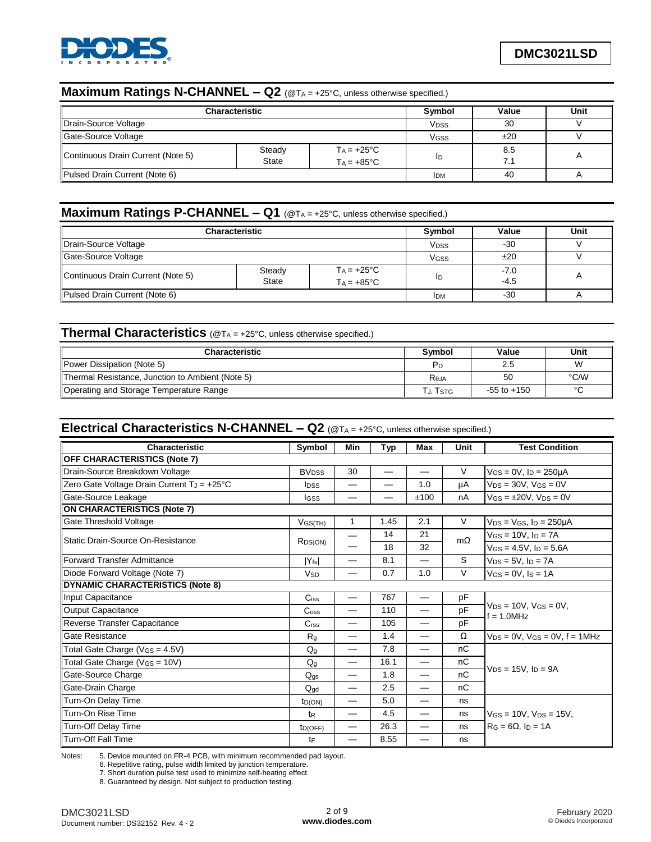

# **Maximum Ratings N-CHANNEL – Q2** (@T<sup>A</sup> = +25°C, unless otherwise specified.)

| <b>Characteristic</b>                                                                                     | Symbol                 | Value | Unit       |   |
|-----------------------------------------------------------------------------------------------------------|------------------------|-------|------------|---|
| Drain-Source Voltage                                                                                      | <b>V<sub>DSS</sub></b> | 30    |            |   |
| Gate-Source Voltage                                                                                       | <b>V<sub>GSS</sub></b> | ±20   |            |   |
| Steady<br>$Ta = +25^{\circ}C$<br>Continuous Drain Current (Note 5)<br><b>State</b><br>$Ta = +85^{\circ}C$ |                        | ID    | 8.5<br>7.1 | А |
| Pulsed Drain Current (Note 6)                                                                             | <b>IDM</b>             | 40    |            |   |

# **Maximum Ratings P-CHANNEL – Q1** (@T<sup>A</sup> = +25°C, unless otherwise specified.)

| <b>Characteristic</b>                                                                                     | Symbol                 | Value | Unit             |  |
|-----------------------------------------------------------------------------------------------------------|------------------------|-------|------------------|--|
| Drain-Source Voltage                                                                                      | <b>V<sub>DSS</sub></b> | -30   |                  |  |
| Gate-Source Voltage                                                                                       | VGSS                   | ±20   |                  |  |
| Steady<br>$Ta = +25^{\circ}C$<br>Continuous Drain Current (Note 5)<br><b>State</b><br>$Ta = +85^{\circ}C$ |                        | ID    | $-7.0$<br>$-4.5$ |  |
| Pulsed Drain Current (Note 6)                                                                             | <b>IDM</b>             | $-30$ |                  |  |

### **Thermal Characteristics** (@T<sup>A</sup> = +25°C, unless otherwise specified.)

| <b>Characteristic</b>                            | Symbol   | Value           | Unit   |
|--------------------------------------------------|----------|-----------------|--------|
| Power Dissipation (Note 5)                       | Pг       | 2.5             | W      |
| Thermal Resistance, Junction to Ambient (Note 5) | Reja     | 50              | °C/W   |
| Operating and Storage Temperature Range          | тյ, Tsтg | $-55$ to $+150$ | $\sim$ |

## **Electrical Characteristics N-CHANNEL – Q2** (@T<sup>A</sup> = +25°C, unless otherwise specified.)

| Characteristic                             | Symbol                      | Min                      | Typ                      | <b>Max</b>                    | Unit      | <b>Test Condition</b>                             |  |
|--------------------------------------------|-----------------------------|--------------------------|--------------------------|-------------------------------|-----------|---------------------------------------------------|--|
| <b>OFF CHARACTERISTICS (Note 7)</b>        |                             |                          |                          |                               |           |                                                   |  |
| Drain-Source Breakdown Voltage             | <b>BV<sub>DSS</sub></b>     | 30                       | $\overline{\phantom{0}}$ |                               | V         | $V_{GS} = 0V$ , $I_D = 250 \mu A$                 |  |
| Zero Gate Voltage Drain Current TJ = +25°C | <b>I</b> pss                | —                        |                          | 1.0                           | μA        | $V_{DS} = 30V$ , $V_{GS} = 0V$                    |  |
| Gate-Source Leakage                        | Igss                        |                          |                          | ±100                          | nA        | $V$ GS = $\pm$ 20V, V <sub>DS</sub> = 0V          |  |
| <b>ON CHARACTERISTICS (Note 7)</b>         |                             |                          |                          |                               |           |                                                   |  |
| Gate Threshold Voltage                     | $V$ GS(TH)                  | 1                        | 1.45                     | 2.1                           | $\vee$    | $V_{DS}$ = $V_{GS}$ , $I_D$ = 250µA               |  |
| Static Drain-Source On-Resistance          |                             |                          | 14                       | 21                            | $m\Omega$ | $V$ GS = 10V, $I_D$ = 7A                          |  |
|                                            | R <sub>DS</sub> (ON)        |                          | 18                       | 32                            |           | $V$ <sub>GS</sub> = 4.5V, $I_D$ = 5.6A            |  |
| <b>Forward Transfer Admittance</b>         | $ Y_{fs} $                  | $\overline{\phantom{0}}$ | 8.1                      |                               | S         | $V_{DS} = 5V$ , $I_D = 7A$                        |  |
| Diode Forward Voltage (Note 7)             | <b>V<sub>SD</sub></b>       |                          | 0.7                      | 1.0                           | V         | $V_{GS} = 0V$ , $I_S = 1A$                        |  |
| <b>DYNAMIC CHARACTERISTICS (Note 8)</b>    |                             |                          |                          |                               |           |                                                   |  |
| Input Capacitance                          | $C$ <sub>iss</sub>          |                          | 767                      | $\overbrace{\phantom{12333}}$ | pF        |                                                   |  |
| <b>Output Capacitance</b>                  | $\mathrm{C}$ <sub>oss</sub> |                          | 110                      |                               | pF        | $V_{DS} = 10V$ , $V_{GS} = 0V$ ,<br>$f = 1.0$ MHz |  |
| Reverse Transfer Capacitance               | C <sub>rss</sub>            | $\overline{\phantom{0}}$ | 105                      |                               | pF        |                                                   |  |
| Gate Resistance                            | R <sub>g</sub>              |                          | 1.4                      |                               | Ω         | $V_{DS} = 0V$ , $V_{GS} = 0V$ , $f = 1MHz$        |  |
| Total Gate Charge (VGS = 4.5V)             | $Q_q$                       | $\overline{\phantom{0}}$ | 7.8                      | $\overline{\phantom{0}}$      | nC        |                                                   |  |
| Total Gate Charge (VGS = 10V)              | $Q_q$                       | $\overline{\phantom{0}}$ | 16.1                     | $\overline{\phantom{0}}$      | nC        |                                                   |  |
| Gate-Source Charge                         | $Q_{gs}$                    | $\overline{\phantom{0}}$ | 1.8                      | $\overline{\phantom{0}}$      | nC        | $V_{DS} = 15V$ . In = 9A                          |  |
| Gate-Drain Charge                          | $Q_{\text{gd}}$             |                          | 2.5                      |                               | nC        |                                                   |  |
| Turn-On Delay Time                         | t <sub>D</sub> (ON)         | $\overline{\phantom{0}}$ | 5.0                      |                               | ns        |                                                   |  |
| Turn-On Rise Time                          | t <sub>R</sub>              |                          | 4.5                      | $\overline{\phantom{0}}$      | ns        | $V_{GS} = 10V$ , $V_{DS} = 15V$ ,                 |  |
| Turn-Off Delay Time                        | ID(OFF)                     |                          | 26.3                     |                               | ns        | $R_G = 6\Omega$ , $I_D = 1A$                      |  |
| <b>Turn-Off Fall Time</b>                  | tF                          |                          | 8.55                     |                               | ns        |                                                   |  |

Notes: 5. Device mounted on FR-4 PCB, with minimum recommended pad layout.

6. Repetitive rating, pulse width limited by junction temperature.

7. Short duration pulse test used to minimize self-heating effect.

8. Guaranteed by design. Not subject to production testing.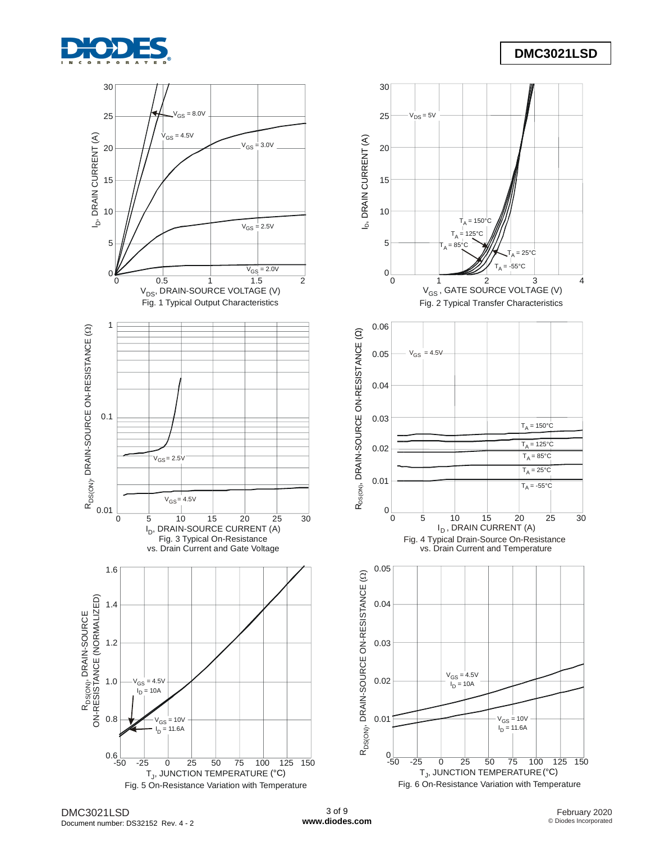

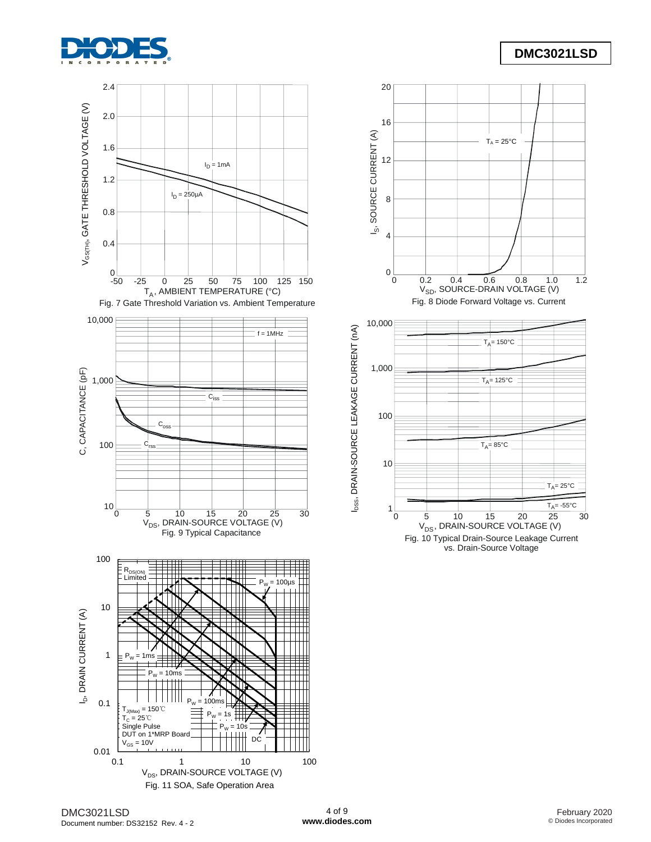



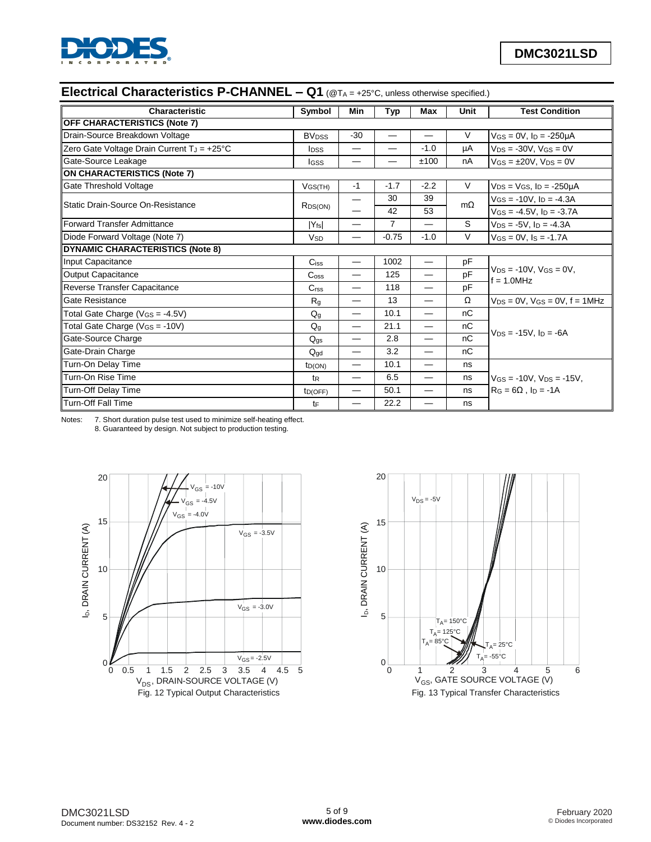

# **Electrical Characteristics P-CHANNEL – Q1** (@T<sup>A</sup> = +25°C, unless otherwise specified.)

| Characteristic                             | Symbol                  | Min                      | <b>Typ</b>     | Max                              | Unit      | <b>Test Condition</b>                                  |
|--------------------------------------------|-------------------------|--------------------------|----------------|----------------------------------|-----------|--------------------------------------------------------|
| <b>OFF CHARACTERISTICS (Note 7)</b>        |                         |                          |                |                                  |           |                                                        |
| Drain-Source Breakdown Voltage             | <b>BV<sub>DSS</sub></b> | $-30$                    |                | $\overbrace{\phantom{12321111}}$ | V         | $V$ <sub>GS</sub> = 0V, $I_D$ = -250 $\mu$ A           |
| Zero Gate Voltage Drain Current TJ = +25°C | I <sub>DSS</sub>        |                          |                | $-1.0$                           | μA        | $V_{DS} = -30V$ , $V_{GS} = 0V$                        |
| Gate-Source Leakage                        | lgss                    |                          |                | ±100                             | nA        | $V$ GS = $\pm$ 20V, V <sub>DS</sub> = 0V               |
| <b>ON CHARACTERISTICS (Note 7)</b>         |                         |                          |                |                                  |           |                                                        |
| Gate Threshold Voltage                     | $V$ GS(TH)              | $-1$                     | $-1.7$         | $-2.2$                           | V         | $V_{DS} = V_{GS}$ , $I_D = -250 \mu A$                 |
| Static Drain-Source On-Resistance          |                         |                          | 30             | 39                               | $m\Omega$ | $V$ <sub>GS</sub> = -10V, $I_D$ = -4.3A                |
|                                            | R <sub>DS</sub> (ON)    |                          | 42             | 53                               |           | $V$ GS = -4.5V, $I_D$ = -3.7A                          |
| Forward Transfer Admittance                | $ Y_{fs} $              |                          | $\overline{7}$ |                                  | S         | $V_{DS} = -5V$ , $I_D = -4.3A$                         |
| Diode Forward Voltage (Note 7)             | <b>V<sub>SD</sub></b>   |                          | $-0.75$        | $-1.0$                           | V         | $V$ <sub>GS</sub> = $0$ V, $I$ <sub>S</sub> = $-1.7$ A |
| <b>DYNAMIC CHARACTERISTICS (Note 8)</b>    |                         |                          |                |                                  |           |                                                        |
| Input Capacitance                          | Ciss                    |                          | 1002           |                                  | pF        |                                                        |
| Output Capacitance                         | $C_{\rm oss}$           |                          | 125            |                                  | pF        | $V_{DS} = -10V$ , $V_{GS} = 0V$ ,<br>$f = 1.0$ MHz     |
| Reverse Transfer Capacitance               | C <sub>rss</sub>        |                          | 118            |                                  | pF        |                                                        |
| Gate Resistance                            | $R_{q}$                 | —                        | 13             | $\overline{\phantom{0}}$         | Ω         | $V_{DS} = 0V$ , $V_{GS} = 0V$ , $f = 1MHz$             |
| Total Gate Charge ( $V_{GS} = -4.5V$ )     | $Q_q$                   |                          | 10.1           |                                  | nC        |                                                        |
| Total Gate Charge ( $V_{GS} = -10V$ )      | $Q_{q}$                 |                          | 21.1           |                                  | nC        |                                                        |
| Gate-Source Charge                         | $Q_{\text{qs}}$         | —                        | 2.8            |                                  | nC        | $V_{DS} = -15V$ . I <sub>D</sub> = $-6A$               |
| Gate-Drain Charge                          | $Q_{\text{qd}}$         | $\overline{\phantom{0}}$ | 3.2            |                                  | nC        |                                                        |
| Turn-On Delay Time                         | $t_{D(ON)}$             | —                        | 10.1           |                                  | ns        |                                                        |
| Turn-On Rise Time                          | t <sub>R</sub>          |                          | 6.5            |                                  | ns        | $V$ GS = -10V, $V_{DS}$ = -15V,                        |
| Turn-Off Delay Time                        | ID(OFF)                 |                          | 50.1           |                                  | ns        | $RG = 6\Omega$ . ID = -1A                              |
| Turn-Off Fall Time                         | tF                      |                          | 22.2           |                                  | ns        |                                                        |

Notes: 7. Short duration pulse test used to minimize self-heating effect.

8. Guaranteed by design. Not subject to production testing.



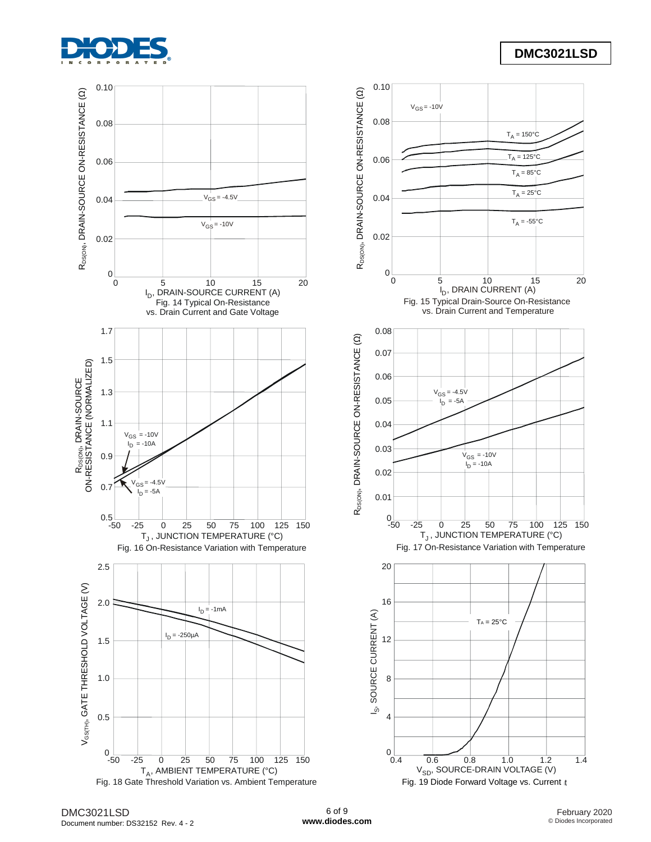

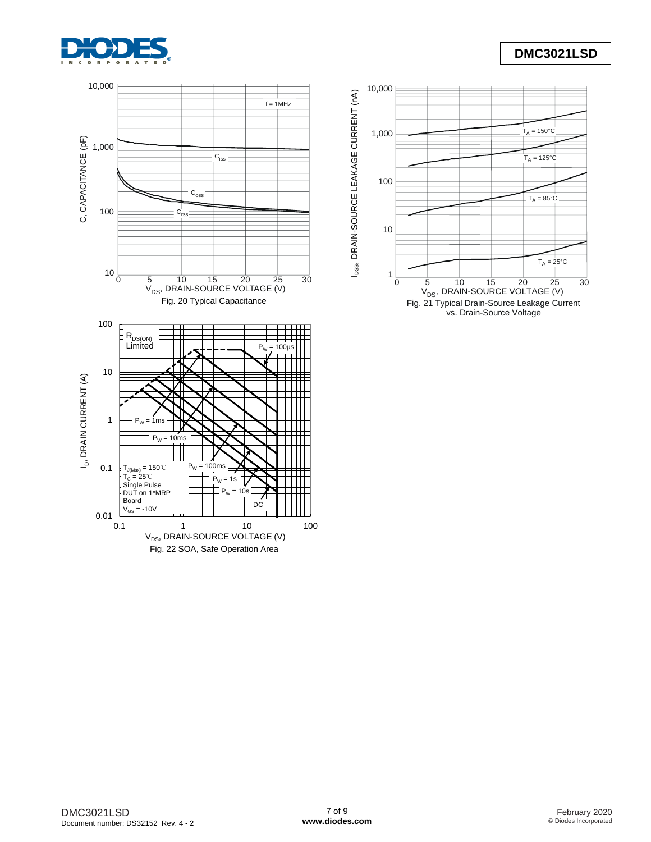

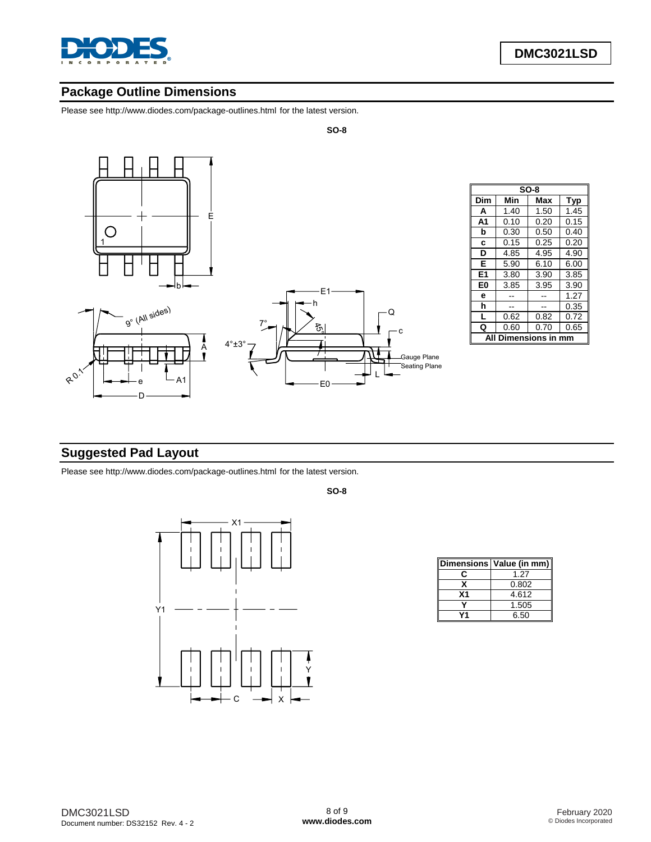

## **Package Outline Dimensions**

Please see http://www.diodes.com/package-outlines.html for the latest version.



| $SO-8$         |                          |      |      |  |  |  |  |
|----------------|--------------------------|------|------|--|--|--|--|
| Dim            | Min<br>Max<br><b>Typ</b> |      |      |  |  |  |  |
| A              | 1.40                     | 1.50 | 1.45 |  |  |  |  |
| A <sub>1</sub> | 0.10                     | 0.20 | 0.15 |  |  |  |  |
| b              | 0.30                     | 0.50 | 0.40 |  |  |  |  |
| C              | 0.15                     | 0.25 | 0.20 |  |  |  |  |
| D              | 4.85                     | 4.95 | 4.90 |  |  |  |  |
| Е              | 5.90                     | 6.10 | 6.00 |  |  |  |  |
| E1             | 3.80                     | 3.90 | 3.85 |  |  |  |  |
| E0             | 3.85                     | 3.95 | 3.90 |  |  |  |  |
| е              |                          |      | 1.27 |  |  |  |  |
| h              |                          |      | 0.35 |  |  |  |  |
| L              | 0.62                     | 0.82 | 0.72 |  |  |  |  |
| Q              | 0.60                     | 0.70 | 0.65 |  |  |  |  |
| nensions       |                          |      |      |  |  |  |  |

# **Suggested Pad Layout**

Please see http://www.diodes.com/package-outlines.html for the latest version.



**SO-8**

**SO-8**

|                | Dimensions   Value (in mm) |
|----------------|----------------------------|
|                | 1.27                       |
|                | 0.802                      |
| X <sub>1</sub> | 4.612                      |
|                | 1.505                      |
|                | 6.50                       |